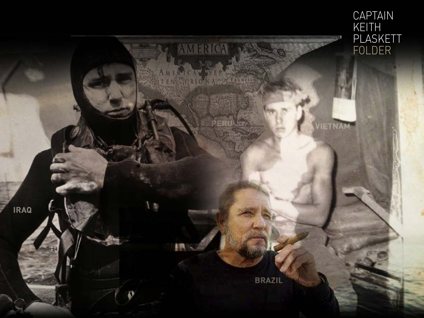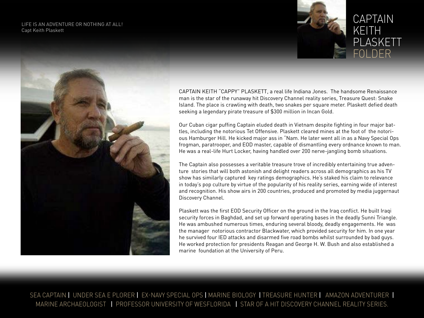LIFE IS AN ADVENTURE OR NOTHING AT ALL! Capt Keith Plaskett





#### CAPTAIN KEITH PLASKETT FOLDER

CAPTAIN KEITH "CAPPY" PLASKETT, a real life Indiana Jones. The handsome Renaissance man is the star of the runaway hit Discovery Channel reality series, Treasure Quest: Snake Island. The place is crawling with death, two snakes per square meter. Plaskett defied death seeking a legendary pirate treasure of \$300 million in Incan Gold.

Our Cuban cigar puffing Captain eluded death in Vietnam despite fighting in four major battles, including the notorious Tet Offensive. Plaskett cleared mines at the foot of the notorious Hamburger Hill. He kicked major ass in "Nam. He later went all in as a Navy Special Ops frogman, paratrooper, and EOD master, capable of dismantling every ordnance known to man. He was a real-life Hurt Locker, having handled over 200 nerve-jangling bomb situations.

The Captain also possesses a veritable treasure trove of incredibly entertaining true adventure stories that will both astonish and delight readers across all demographics as his TV show has similarly captured key ratings demographics. He's staked his claim to relevance in today's pop culture by virtue of the popularity of his reality series, earning wide of interest and recognition. His show airs in 200 countries, produced and promoted by media juggernaut Discovery Channel.

Plaskett was the first EOD Security Officer on the ground in the Iraq conflict. He built Iraqi security forces in Baghdad, and set up forward operating bases in the deadly Sunni Triangle. He was ambushed numerous times, enduring several bloody, deadly engagements. He was the manager notorious contractor Blackwater, which provided security for him. In one year he survived four IED attacks and disarmed five road bombs whilst surrounded by bad guys. He worked protection for presidents Reagan and George H. W. Bush and also established a marine foundation at the University of Peru.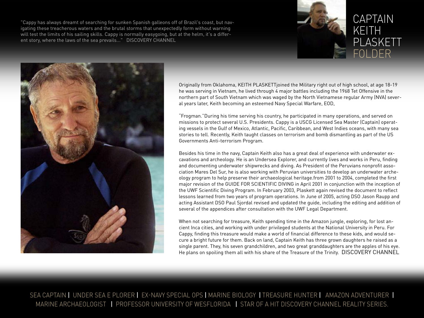"Cappy has always dreamt of searching for sunken Spanish galleons off of Brazil's coast, but navigating these treacherous waters and the brutal storms that unexpectedly form without warning will test the limits of his sailing skills. Cappy is normally easygoing, but at the helm, it's a different story, where the laws of the sea prevails..." DISCOVERY CHANNEL



#### CAPTAIN KEITH PLASKETT FOLDER



Originally from Oklahoma, KEITH PLASKETTjoined the Military right out of high school, at age 18-19 he was serving in Vietnam, he lived through 4 major battles including the 1968 Tet Offensive in the northern part of South Vietnam which was waged by the North Vietnamese regular Army (NVA) several years later, Keith becoming an esteemed Navy Special Warfare, EOD,

"Frogman."During his time serving his country, he participated in many operations, and served on missions to protect several U.S. Presidents. Cappy is a USCG Licensed Sea Master (Captain) operating vessels in the Gulf of Mexico, Atlantic, Pacific, Caribbean, and West Indies oceans, with many sea stories to tell. Recently, Keith taught classes on terrorism and bomb dismantling as part of the US Governments Anti-terrorism Program.

Besides his time in the navy, Captain Keith also has a great deal of experience with underwater excavations and archeology. He is an Undersea Explorer, and currently lives and works in Peru, finding and documenting underwater shipwrecks and diving. As President of the Peruvians nonprofit association Mares Del Sur, he is also working with Peruvian universities to develop an underwater archeology program to help preserve their archaeological<heritage.from> 2001 to 2004, completed the first major revision of the GUIDE FOR SCIENTIFIC DIVING in April 2001 in conjunction with the inception of the UWF Scientific Diving Program. In February 2003, Plaskett again revised the document to reflect lessons learned from two years of program operations. In June of 2005, acting DSO Jason Raupp and acting Assistant DSO Paul Sjordal revised and updated the guide, including the editing and addition of several of the appendices after consultation with the UWF Legal Department.

When not searching for treasure, Keith spending time in the Amazon jungle, exploring, for lost ancient Inca cities, and working with under privileged students at the National University in Peru. For Cappy, finding this treasure would make a world of financial difference to these kids, and would secure a bright future for them. Back on land, Captain Keith has three grown daughters he raised as a single parent. They, his seven grandchildren, and two great granddaughters are the apples of his eye. He plans on spoiling them all with his share of the Treasure of the Trinity. DISCOVERY CHANNEL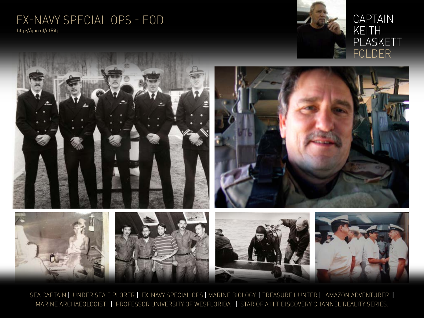### Ex-Navy Special Ops - eod

<http://goo.gl/utRitj>



#### CAPTAIN KEITH PLASKETT FOLDER

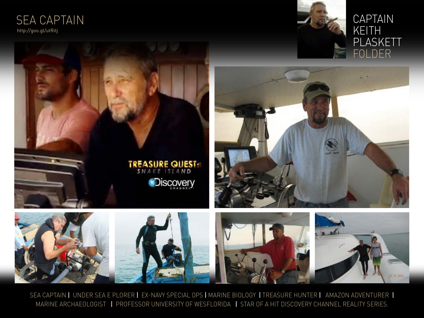#### SEA CAPTAIN <http://goo.gl/utRitj>





#### CAPTAIN KEITH PLASKETT FOLDER



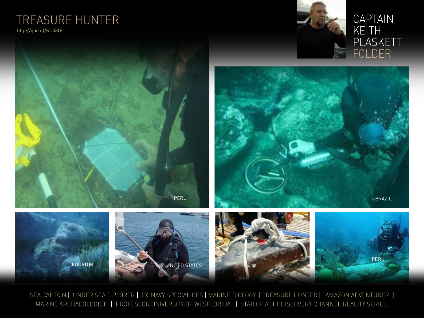# TREASURE HUNTER

<http://goo.gl/KU58Os>





#### CAPTAIN KEITH PLASKETT FOLDER



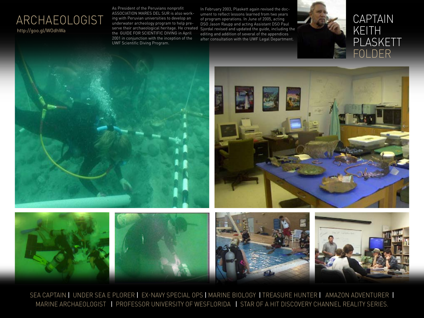#### ARCHAEOLOGIST <http://goo.gl/WOdhWa>

As President of the Peruvians nonprofit ASSOCIATION MARES DEL SUR is also working with Peruvian universities to develop an underwater archeology program to help preserve their archaeological heritage. He created the GUIDE FOR SCIENTIFIC DIVING in April 2001 in conjunction with the inception of the UWF Scientific Diving Program.

In February 2003, Plaskett again revised the document to reflect lessons learned from two years of program operations. In June of 2005, acting DSO Jason Raupp and acting Assistant DSO Paul Sjordal revised and updated the guide, including the editing and addition of several of the appendices after consultation with the UWF Legal Department.













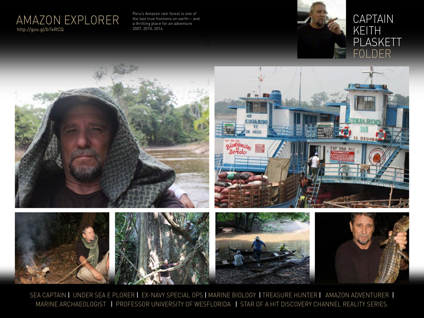

Peru's Amazon rain forest is one of the last true frontiers on earth— and a thrilling place for an adventure



#### CAPTAIN KEITH PLASKETT FOLDER

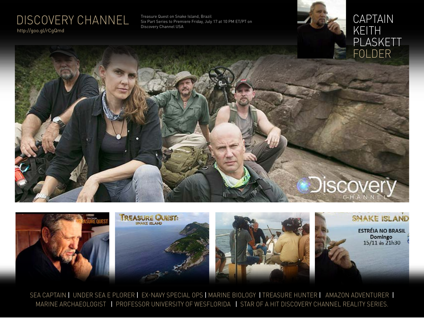## DISCOVERY CHANNEL

<http://goo.gl/rCgQmd>

Treasure Quest on Snake Island, Brazil Six Part Series to Premiere Friday, July 17 at 10 PM ET/PT on Discovery Channel USA

#### CAPTAIN KEITH PLASKETT FOLDER

# **Discover**